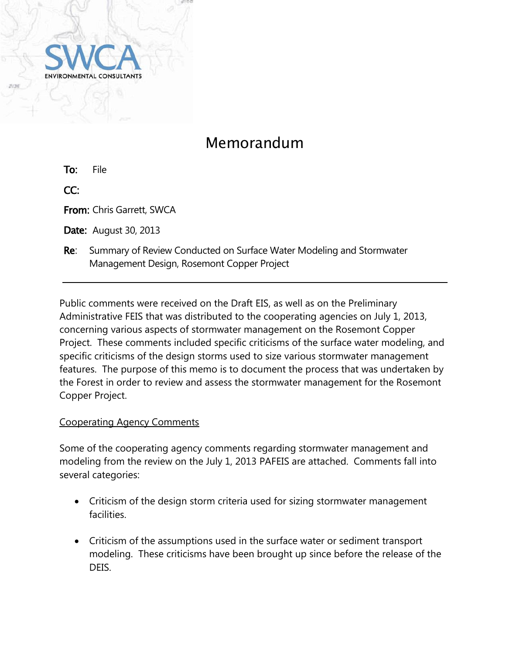

# Memorandum

To: File

CC:

From: Chris Garrett, SWCA

**Date:** August 30, 2013

Re: Summary of Review Conducted on Surface Water Modeling and Stormwater Management Design, Rosemont Copper Project

Public comments were received on the Draft EIS, as well as on the Preliminary Administrative FEIS that was distributed to the cooperating agencies on July 1, 2013, concerning various aspects of stormwater management on the Rosemont Copper Project. These comments included specific criticisms of the surface water modeling, and specific criticisms of the design storms used to size various stormwater management features. The purpose of this memo is to document the process that was undertaken by the Forest in order to review and assess the stormwater management for the Rosemont Copper Project.

## Cooperating Agency Comments

Some of the cooperating agency comments regarding stormwater management and modeling from the review on the July 1, 2013 PAFEIS are attached. Comments fall into several categories:

- Criticism of the design storm criteria used for sizing stormwater management facilities.
- Criticism of the assumptions used in the surface water or sediment transport modeling. These criticisms have been brought up since before the release of the DEIS.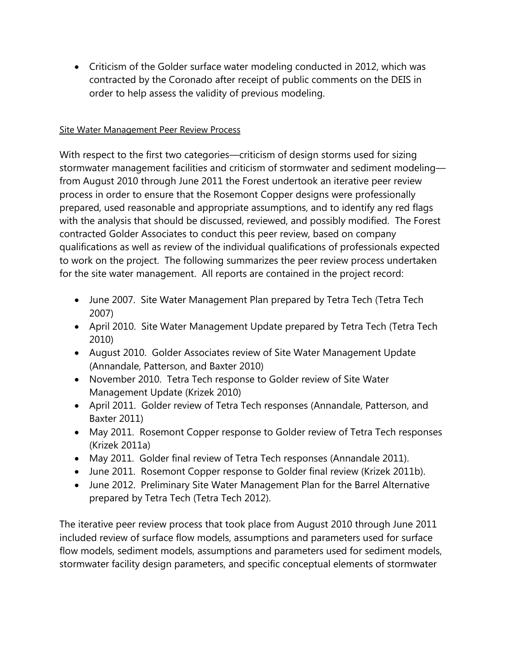Criticism of the Golder surface water modeling conducted in 2012, which was contracted by the Coronado after receipt of public comments on the DEIS in order to help assess the validity of previous modeling.

#### Site Water Management Peer Review Process

With respect to the first two categories—criticism of design storms used for sizing stormwater management facilities and criticism of stormwater and sediment modeling from August 2010 through June 2011 the Forest undertook an iterative peer review process in order to ensure that the Rosemont Copper designs were professionally prepared, used reasonable and appropriate assumptions, and to identify any red flags with the analysis that should be discussed, reviewed, and possibly modified. The Forest contracted Golder Associates to conduct this peer review, based on company qualifications as well as review of the individual qualifications of professionals expected to work on the project. The following summarizes the peer review process undertaken for the site water management. All reports are contained in the project record:

- June 2007. Site Water Management Plan prepared by Tetra Tech (Tetra Tech 2007)
- April 2010. Site Water Management Update prepared by Tetra Tech (Tetra Tech 2010)
- August 2010. Golder Associates review of Site Water Management Update (Annandale, Patterson, and Baxter 2010)
- November 2010. Tetra Tech response to Golder review of Site Water Management Update (Krizek 2010)
- April 2011. Golder review of Tetra Tech responses (Annandale, Patterson, and Baxter 2011)
- May 2011. Rosemont Copper response to Golder review of Tetra Tech responses (Krizek 2011a)
- May 2011. Golder final review of Tetra Tech responses (Annandale 2011).
- June 2011. Rosemont Copper response to Golder final review (Krizek 2011b).
- June 2012. Preliminary Site Water Management Plan for the Barrel Alternative prepared by Tetra Tech (Tetra Tech 2012).

The iterative peer review process that took place from August 2010 through June 2011 included review of surface flow models, assumptions and parameters used for surface flow models, sediment models, assumptions and parameters used for sediment models, stormwater facility design parameters, and specific conceptual elements of stormwater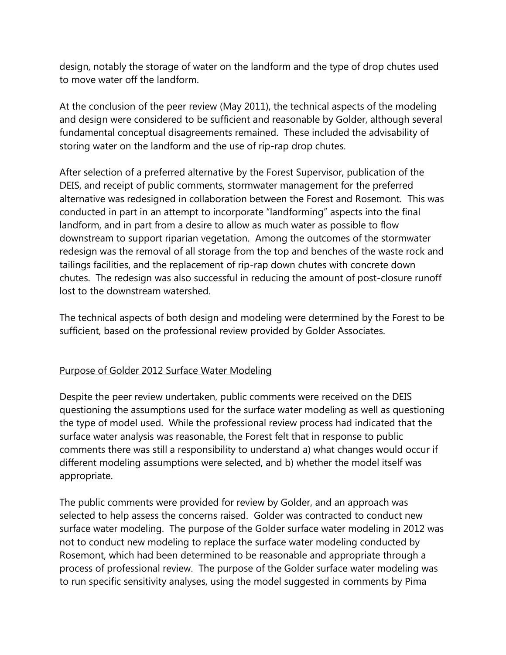design, notably the storage of water on the landform and the type of drop chutes used to move water off the landform.

At the conclusion of the peer review (May 2011), the technical aspects of the modeling and design were considered to be sufficient and reasonable by Golder, although several fundamental conceptual disagreements remained. These included the advisability of storing water on the landform and the use of rip-rap drop chutes.

After selection of a preferred alternative by the Forest Supervisor, publication of the DEIS, and receipt of public comments, stormwater management for the preferred alternative was redesigned in collaboration between the Forest and Rosemont. This was conducted in part in an attempt to incorporate "landforming" aspects into the final landform, and in part from a desire to allow as much water as possible to flow downstream to support riparian vegetation. Among the outcomes of the stormwater redesign was the removal of all storage from the top and benches of the waste rock and tailings facilities, and the replacement of rip-rap down chutes with concrete down chutes. The redesign was also successful in reducing the amount of post-closure runoff lost to the downstream watershed.

The technical aspects of both design and modeling were determined by the Forest to be sufficient, based on the professional review provided by Golder Associates.

#### Purpose of Golder 2012 Surface Water Modeling

Despite the peer review undertaken, public comments were received on the DEIS questioning the assumptions used for the surface water modeling as well as questioning the type of model used. While the professional review process had indicated that the surface water analysis was reasonable, the Forest felt that in response to public comments there was still a responsibility to understand a) what changes would occur if different modeling assumptions were selected, and b) whether the model itself was appropriate.

The public comments were provided for review by Golder, and an approach was selected to help assess the concerns raised. Golder was contracted to conduct new surface water modeling. The purpose of the Golder surface water modeling in 2012 was not to conduct new modeling to replace the surface water modeling conducted by Rosemont, which had been determined to be reasonable and appropriate through a process of professional review. The purpose of the Golder surface water modeling was to run specific sensitivity analyses, using the model suggested in comments by Pima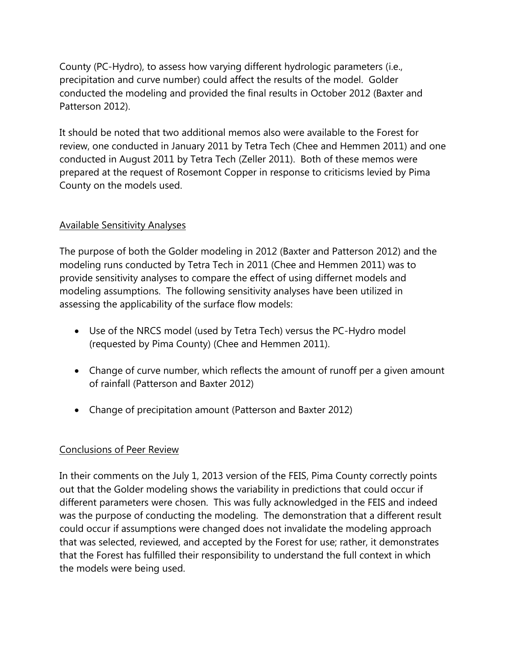County (PC-Hydro), to assess how varying different hydrologic parameters (i.e., precipitation and curve number) could affect the results of the model. Golder conducted the modeling and provided the final results in October 2012 (Baxter and Patterson 2012).

It should be noted that two additional memos also were available to the Forest for review, one conducted in January 2011 by Tetra Tech (Chee and Hemmen 2011) and one conducted in August 2011 by Tetra Tech (Zeller 2011). Both of these memos were prepared at the request of Rosemont Copper in response to criticisms levied by Pima County on the models used.

### Available Sensitivity Analyses

The purpose of both the Golder modeling in 2012 (Baxter and Patterson 2012) and the modeling runs conducted by Tetra Tech in 2011 (Chee and Hemmen 2011) was to provide sensitivity analyses to compare the effect of using differnet models and modeling assumptions. The following sensitivity analyses have been utilized in assessing the applicability of the surface flow models:

- Use of the NRCS model (used by Tetra Tech) versus the PC-Hydro model (requested by Pima County) (Chee and Hemmen 2011).
- Change of curve number, which reflects the amount of runoff per a given amount of rainfall (Patterson and Baxter 2012)
- Change of precipitation amount (Patterson and Baxter 2012)

## Conclusions of Peer Review

In their comments on the July 1, 2013 version of the FEIS, Pima County correctly points out that the Golder modeling shows the variability in predictions that could occur if different parameters were chosen. This was fully acknowledged in the FEIS and indeed was the purpose of conducting the modeling. The demonstration that a different result could occur if assumptions were changed does not invalidate the modeling approach that was selected, reviewed, and accepted by the Forest for use; rather, it demonstrates that the Forest has fulfilled their responsibility to understand the full context in which the models were being used.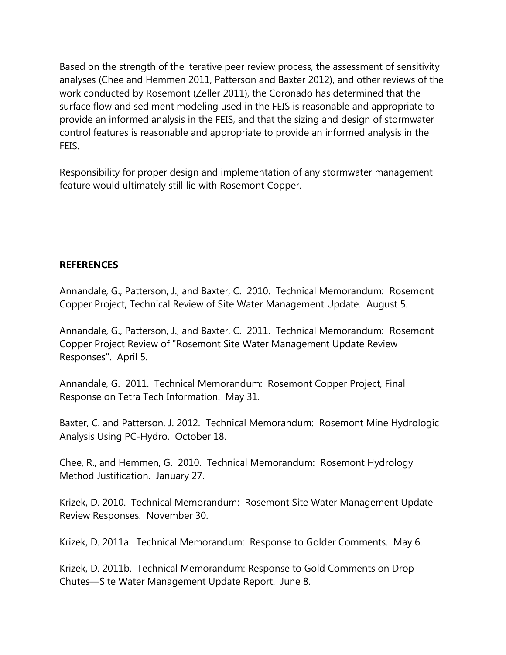Based on the strength of the iterative peer review process, the assessment of sensitivity analyses (Chee and Hemmen 2011, Patterson and Baxter 2012), and other reviews of the work conducted by Rosemont (Zeller 2011), the Coronado has determined that the surface flow and sediment modeling used in the FEIS is reasonable and appropriate to provide an informed analysis in the FEIS, and that the sizing and design of stormwater control features is reasonable and appropriate to provide an informed analysis in the FEIS.

Responsibility for proper design and implementation of any stormwater management feature would ultimately still lie with Rosemont Copper.

#### **REFERENCES**

Annandale, G., Patterson, J., and Baxter, C. 2010. Technical Memorandum: Rosemont Copper Project, Technical Review of Site Water Management Update. August 5.

Annandale, G., Patterson, J., and Baxter, C. 2011. Technical Memorandum: Rosemont Copper Project Review of "Rosemont Site Water Management Update Review Responses". April 5.

Annandale, G. 2011. Technical Memorandum: Rosemont Copper Project, Final Response on Tetra Tech Information. May 31.

Baxter, C. and Patterson, J. 2012. Technical Memorandum: Rosemont Mine Hydrologic Analysis Using PC-Hydro. October 18.

Chee, R., and Hemmen, G. 2010. Technical Memorandum: Rosemont Hydrology Method Justification. January 27.

Krizek, D. 2010. Technical Memorandum: Rosemont Site Water Management Update Review Responses. November 30.

Krizek, D. 2011a. Technical Memorandum: Response to Golder Comments. May 6.

Krizek, D. 2011b. Technical Memorandum: Response to Gold Comments on Drop Chutes—Site Water Management Update Report. June 8.